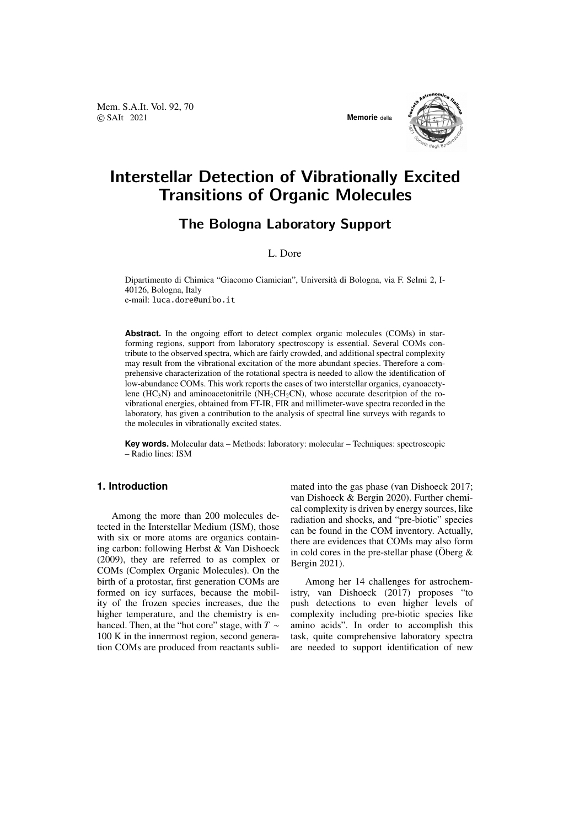Mem. S.A.It. Vol. 92, 70 © SAIt 2021 **Memorie** della



# Interstellar Detection of Vibrationally Excited Transitions of Organic Molecules

# The Bologna Laboratory Support

# L. Dore

Dipartimento di Chimica "Giacomo Ciamician", Universita di Bologna, via F. Selmi 2, I- ` 40126, Bologna, Italy e-mail: luca.dore@unibo.it

**Abstract.** In the ongoing effort to detect complex organic molecules (COMs) in starforming regions, support from laboratory spectroscopy is essential. Several COMs contribute to the observed spectra, which are fairly crowded, and additional spectral complexity may result from the vibrational excitation of the more abundant species. Therefore a comprehensive characterization of the rotational spectra is needed to allow the identification of low-abundance COMs. This work reports the cases of two interstellar organics, cyanoacetylene (HC<sub>3</sub>N) and aminoacetonitrile (NH<sub>2</sub>CH<sub>2</sub>CN), whose accurate descritpion of the rovibrational energies, obtained from FT-IR, FIR and millimeter-wave spectra recorded in the laboratory, has given a contribution to the analysis of spectral line surveys with regards to the molecules in vibrationally excited states.

**Key words.** Molecular data – Methods: laboratory: molecular – Techniques: spectroscopic – Radio lines: ISM

## **1. Introduction**

Among the more than 200 molecules detected in the Interstellar Medium (ISM), those with six or more atoms are organics containing carbon: following Herbst & Van Dishoeck (2009), they are referred to as complex or COMs (Complex Organic Molecules). On the birth of a protostar, first generation COMs are formed on icy surfaces, because the mobility of the frozen species increases, due the higher temperature, and the chemistry is enhanced. Then, at the "hot core" stage, with *T* ∼ 100 K in the innermost region, second generation COMs are produced from reactants sublimated into the gas phase (van Dishoeck 2017; van Dishoeck & Bergin 2020). Further chemical complexity is driven by energy sources, like radiation and shocks, and "pre-biotic" species can be found in the COM inventory. Actually, there are evidences that COMs may also form in cold cores in the pre-stellar phase (Öberg  $\&$ Bergin 2021).

Among her 14 challenges for astrochemistry, van Dishoeck (2017) proposes "to push detections to even higher levels of complexity including pre-biotic species like amino acids". In order to accomplish this task, quite comprehensive laboratory spectra are needed to support identification of new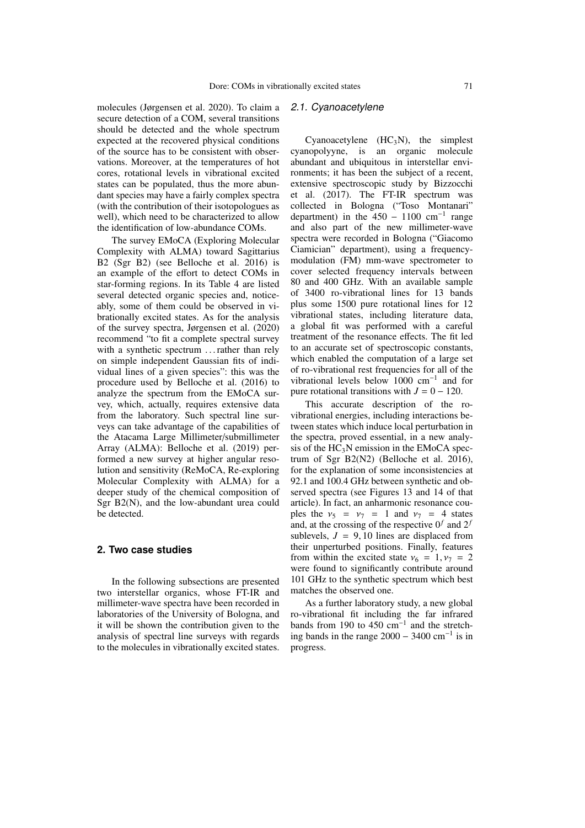molecules (Jørgensen et al. 2020). To claim a secure detection of a COM, several transitions should be detected and the whole spectrum expected at the recovered physical conditions of the source has to be consistent with observations. Moreover, at the temperatures of hot cores, rotational levels in vibrational excited states can be populated, thus the more abundant species may have a fairly complex spectra (with the contribution of their isotopologues as well), which need to be characterized to allow the identification of low-abundance COMs.

The survey EMoCA (Exploring Molecular Complexity with ALMA) toward Sagittarius B2 (Sgr B2) (see Belloche et al. 2016) is an example of the effort to detect COMs in star-forming regions. In its Table 4 are listed several detected organic species and, noticeably, some of them could be observed in vibrationally excited states. As for the analysis of the survey spectra, Jørgensen et al. (2020) recommend "to fit a complete spectral survey with a synthetic spectrum ... rather than rely on simple independent Gaussian fits of individual lines of a given species": this was the procedure used by Belloche et al. (2016) to analyze the spectrum from the EMoCA survey, which, actually, requires extensive data from the laboratory. Such spectral line surveys can take advantage of the capabilities of the Atacama Large Millimeter/submillimeter Array (ALMA): Belloche et al. (2019) performed a new survey at higher angular resolution and sensitivity (ReMoCA, Re-exploring Molecular Complexity with ALMA) for a deeper study of the chemical composition of Sgr B2(N), and the low-abundant urea could be detected.

### **2. Two case studies**

In the following subsections are presented two interstellar organics, whose FT-IR and millimeter-wave spectra have been recorded in laboratories of the University of Bologna, and it will be shown the contribution given to the analysis of spectral line surveys with regards to the molecules in vibrationally excited states.

#### 2.1. Cyanoacetylene

Cyanoacetylene  $(HC_3N)$ , the simplest cyanopolyyne, is an organic molecule abundant and ubiquitous in interstellar environments; it has been the subject of a recent, extensive spectroscopic study by Bizzocchi et al. (2017). The FT-IR spectrum was collected in Bologna ("Toso Montanari" department) in the  $450 - 1100$  cm<sup>-1</sup> range and also part of the new millimeter-wave spectra were recorded in Bologna ("Giacomo Ciamician" department), using a frequencymodulation (FM) mm-wave spectrometer to cover selected frequency intervals between 80 and 400 GHz. With an available sample of 3400 ro-vibrational lines for 13 bands plus some 1500 pure rotational lines for 12 vibrational states, including literature data, a global fit was performed with a careful treatment of the resonance effects. The fit led to an accurate set of spectroscopic constants, which enabled the computation of a large set of ro-vibrational rest frequencies for all of the vibrational levels below 1000 cm<sup>−</sup><sup>1</sup> and for pure rotational transitions with  $J = 0 - 120$ .

This accurate description of the rovibrational energies, including interactions between states which induce local perturbation in the spectra, proved essential, in a new analysis of the  $HC<sub>3</sub>N$  emission in the EMoCA spectrum of Sgr B2(N2) (Belloche et al. 2016), for the explanation of some inconsistencies at 92.1 and 100.4 GHz between synthetic and observed spectra (see Figures 13 and 14 of that article). In fact, an anharmonic resonance couples the  $v_5 = v_7 = 1$  and  $v_7 = 4$  states and, at the crossing of the respective  $0^f$  and  $2^f$ sublevels,  $J = 9, 10$  lines are displaced from their unperturbed positions. Finally, features from within the excited state  $v_6 = 1, v_7 = 2$ were found to significantly contribute around 101 GHz to the synthetic spectrum which best matches the observed one.

As a further laboratory study, a new global ro-vibrational fit including the far infrared bands from 190 to 450 cm<sup>-1</sup> and the stretching bands in the range  $2000 - 3400$  cm<sup>-1</sup> is in progress.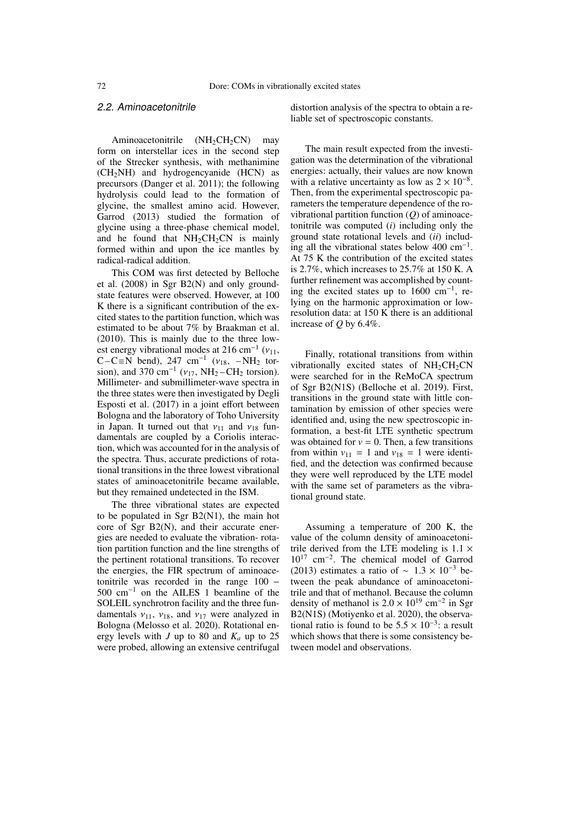#### 2.2. Aminoacetonitrile

Aminoacetonitrile  $(NH_2CH_2CN)$  may form on interstellar ices in the second step of the Strecker synthesis, with methanimine  $(CH<sub>2</sub>NH)$  and hydrogencyanide (HCN) as precursors (Danger et al. 2011); the following hydrolysis could lead to the formation of glycine, the smallest amino acid. However, Garrod (2013) studied the formation of glycine using a three-phase chemical model, and he found that  $NH<sub>2</sub>CH<sub>2</sub>CN$  is mainly formed within and upon the ice mantles by radical-radical addition.

This COM was first detected by Belloche et al. (2008) in Sgr B2(N) and only groundstate features were observed. However, at 100 K there is a significant contribution of the excited states to the partition function, which was estimated to be about 7% by Braakman et al. (2010). This is mainly due to the three lowest energy vibrational modes at 216 cm<sup>-1</sup>  $(v_{11}$ , est energy vibrational modes at 216 cm<sup>-1</sup> ( $v_{11}$ ,<br>C-C≡N bend), 247 cm<sup>-1</sup> ( $v_{18}$ , -NH<sub>2</sub> tor-<br>sion) and 370 cm<sup>-1</sup> ( $v_{17}$ , NH<sub>2</sub>-CH<sub>2</sub> torsion) sion), and 370 cm<sup>-1</sup> ( $v_{17}$ , NH<sub>2</sub> – CH<sub>2</sub> torsion).<br>Millimeter- and submillimeter-wave spectra in Millimeter- and submillimeter-wave spectra in the three states were then investigated by Degli Esposti et al. (2017) in a joint effort between Bologna and the laboratory of Toho University in Japan. It turned out that  $v_{11}$  and  $v_{18}$  fundamentals are coupled by a Coriolis interaction, which was accounted for in the analysis of the spectra. Thus, accurate predictions of rotational transitions in the three lowest vibrational states of aminoacetonitrile became available, but they remained undetected in the ISM.

The three vibrational states are expected to be populated in Sgr B2(N1), the main hot core of Sgr B2(N), and their accurate energies are needed to evaluate the vibration- rotation partition function and the line strengths of the pertinent rotational transitions. To recover the energies, the FIR spectrum of aminoacetonitrile was recorded in the range 100 − 500 cm<sup>−</sup><sup>1</sup> on the AILES 1 beamline of the SOLEIL synchrotron facility and the three fundamentals  $v_{11}$ ,  $v_{18}$ , and  $v_{17}$  were analyzed in Bologna (Melosso et al. 2020). Rotational energy levels with *J* up to 80 and  $K_a$  up to 25 were probed, allowing an extensive centrifugal distortion analysis of the spectra to obtain a reliable set of spectroscopic constants.

The main result expected from the investigation was the determination of the vibrational energies: actually, their values are now known with a relative uncertainty as low as  $2 \times 10^{-8}$ . Then, from the experimental spectroscopic parameters the temperature dependence of the rovibrational partition function (*Q*) of aminoacetonitrile was computed (*i*) including only the ground state rotational levels and (*ii*) including all the vibrational states below 400 cm−<sup>1</sup> . At 75 K the contribution of the excited states is 2.7%, which increases to 25.7% at 150 K. A further refinement was accomplished by counting the excited states up to 1600 cm−<sup>1</sup> , relying on the harmonic approximation or lowresolution data: at 150 K there is an additional increase of *<sup>Q</sup>* by 6.4%.

Finally, rotational transitions from within vibrationally excited states of  $NH<sub>2</sub>CH<sub>2</sub>CN$ were searched for in the ReMoCA spectrum of Sgr B2(N1S) (Belloche et al. 2019). First, transitions in the ground state with little contamination by emission of other species were identified and, using the new spectroscopic information, a best-fit LTE synthetic spectrum was obtained for  $v = 0$ . Then, a few transitions from within  $v_{11} = 1$  and  $v_{18} = 1$  were identified, and the detection was confirmed because they were well reproduced by the LTE model with the same set of parameters as the vibrational ground state.

Assuming a temperature of 200 K, the value of the column density of aminoacetonitrile derived from the LTE modeling is  $1.1 \times$ 10<sup>17</sup> cm<sup>−</sup><sup>2</sup> . The chemical model of Garrod (2013) estimates a ratio of  $\sim 1.3 \times 10^{-3}$  between the peak abundance of aminoacetonitrile and that of methanol. Because the column density of methanol is  $2.0 \times 10^{19}$  cm<sup>-2</sup> in Sgr<br>B2(N1S) (Motivenko et al. 2020), the observa-B2(N1S) (Motiyenko et al. 2020), the observational ratio is found to be  $5.5 \times 10^{-3}$ : a result which shows that there is some consistency bewhich shows that there is some consistency between model and observations.